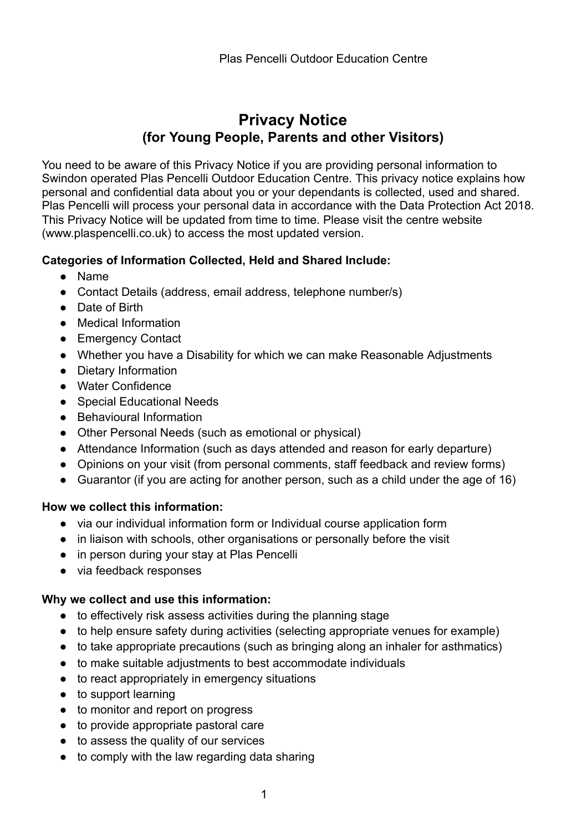# **Privacy Notice (for Young People, Parents and other Visitors)**

You need to be aware of this Privacy Notice if you are providing personal information to Swindon operated Plas Pencelli Outdoor Education Centre. This privacy notice explains how personal and confidential data about you or your dependants is collected, used and shared. Plas Pencelli will process your personal data in accordance with the Data Protection Act 2018. This Privacy Notice will be updated from time to time. Please visit the centre website (www.plaspencelli.co.uk) to access the most updated version.

#### **Categories of Information Collected, Held and Shared Include:**

- Name
- Contact Details (address, email address, telephone number/s)
- Date of Birth
- Medical Information
- Emergency Contact
- Whether you have a Disability for which we can make Reasonable Adjustments
- Dietary Information
- Water Confidence
- Special Educational Needs
- Behavioural Information
- Other Personal Needs (such as emotional or physical)
- Attendance Information (such as days attended and reason for early departure)
- Opinions on your visit (from personal comments, staff feedback and review forms)
- Guarantor (if you are acting for another person, such as a child under the age of 16)

# **How we collect this information:**

- via our individual information form or Individual course application form
- in liaison with schools, other organisations or personally before the visit
- in person during your stay at Plas Pencelli
- via feedback responses

# **Why we collect and use this information:**

- to effectively risk assess activities during the planning stage
- to help ensure safety during activities (selecting appropriate venues for example)
- to take appropriate precautions (such as bringing along an inhaler for asthmatics)
- to make suitable adjustments to best accommodate individuals
- to react appropriately in emergency situations
- to support learning
- to monitor and report on progress
- to provide appropriate pastoral care
- to assess the quality of our services
- to comply with the law regarding data sharing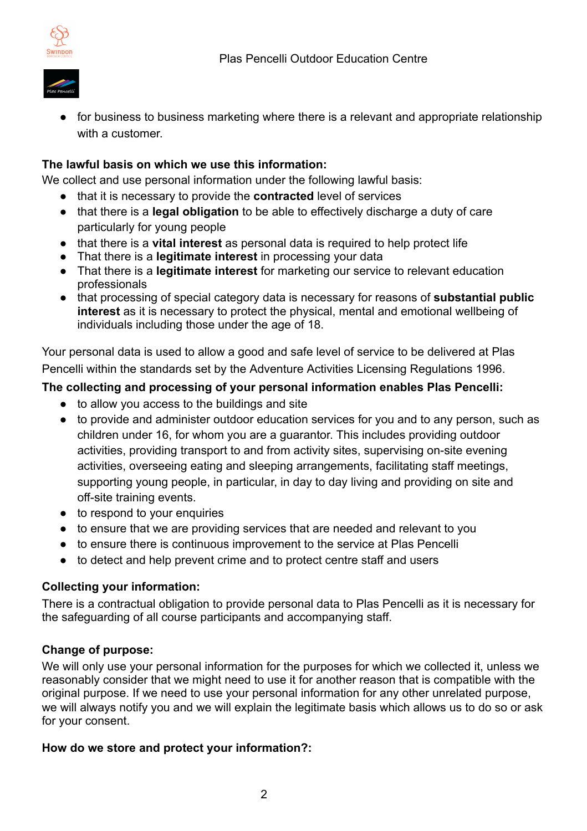

● for business to business marketing where there is a relevant and appropriate relationship with a customer.

# **The lawful basis on which we use this information:**

We collect and use personal information under the following lawful basis:

- that it is necessary to provide the **contracted** level of services
- that there is a **legal obligation** to be able to effectively discharge a duty of care particularly for young people
- that there is a **vital interest** as personal data is required to help protect life
- That there is a **legitimate interest** in processing your data
- That there is a **legitimate interest** for marketing our service to relevant education professionals
- that processing of special category data is necessary for reasons of **substantial public interest** as it is necessary to protect the physical, mental and emotional wellbeing of individuals including those under the age of 18.

Your personal data is used to allow a good and safe level of service to be delivered at Plas Pencelli within the standards set by the Adventure Activities Licensing Regulations 1996.

# **The collecting and processing of your personal information enables Plas Pencelli:**

- to allow you access to the buildings and site
- to provide and administer outdoor education services for you and to any person, such as children under 16, for whom you are a guarantor. This includes providing outdoor activities, providing transport to and from activity sites, supervising on-site evening activities, overseeing eating and sleeping arrangements, facilitating staff meetings, supporting young people, in particular, in day to day living and providing on site and off-site training events.
- to respond to your enquiries
- to ensure that we are providing services that are needed and relevant to you
- to ensure there is continuous improvement to the service at Plas Pencelli
- to detect and help prevent crime and to protect centre staff and users

# **Collecting your information:**

There is a contractual obligation to provide personal data to Plas Pencelli as it is necessary for the safeguarding of all course participants and accompanying staff.

#### **Change of purpose:**

We will only use your personal information for the purposes for which we collected it, unless we reasonably consider that we might need to use it for another reason that is compatible with the original purpose. If we need to use your personal information for any other unrelated purpose, we will always notify you and we will explain the legitimate basis which allows us to do so or ask for your consent.

#### **How do we store and protect your information?:**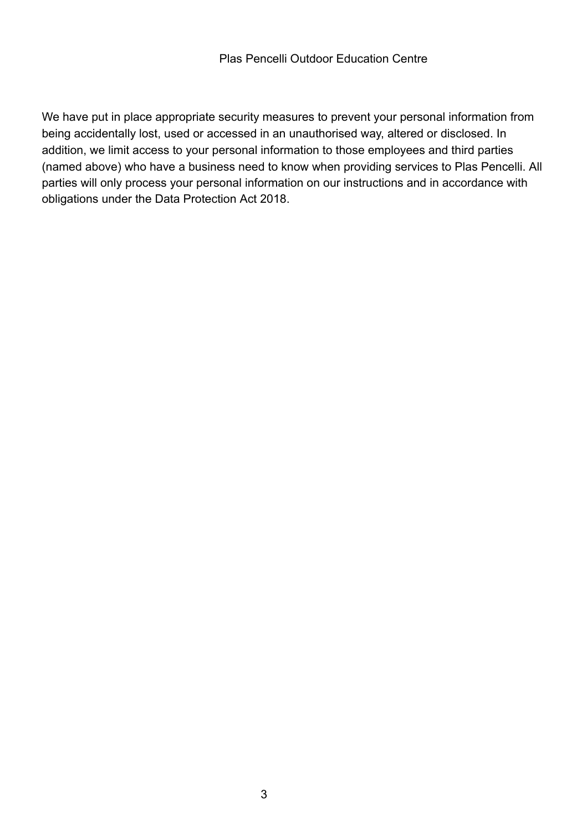We have put in place appropriate security measures to prevent your personal information from being accidentally lost, used or accessed in an unauthorised way, altered or disclosed. In addition, we limit access to your personal information to those employees and third parties (named above) who have a business need to know when providing services to Plas Pencelli. All parties will only process your personal information on our instructions and in accordance with obligations under the Data Protection Act 2018.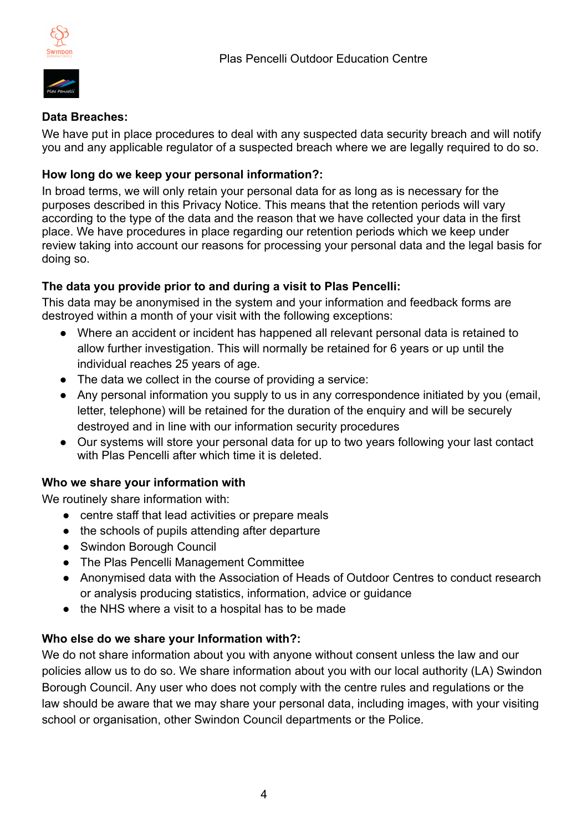

# **Data Breaches:**

We have put in place procedures to deal with any suspected data security breach and will notify you and any applicable regulator of a suspected breach where we are legally required to do so.

# **How long do we keep your personal information?:**

In broad terms, we will only retain your personal data for as long as is necessary for the purposes described in this Privacy Notice. This means that the retention periods will vary according to the type of the data and the reason that we have collected your data in the first place. We have procedures in place regarding our retention periods which we keep under review taking into account our reasons for processing your personal data and the legal basis for doing so.

# **The data you provide prior to and during a visit to Plas Pencelli:**

This data may be anonymised in the system and your information and feedback forms are destroyed within a month of your visit with the following exceptions:

- Where an accident or incident has happened all relevant personal data is retained to allow further investigation. This will normally be retained for 6 years or up until the individual reaches 25 years of age.
- The data we collect in the course of providing a service:
- Any personal information you supply to us in any correspondence initiated by you (email, letter, telephone) will be retained for the duration of the enquiry and will be securely destroyed and in line with our information security procedures
- Our systems will store your personal data for up to two years following your last contact with Plas Pencelli after which time it is deleted.

# **Who we share your information with**

We routinely share information with:

- centre staff that lead activities or prepare meals
- the schools of pupils attending after departure
- Swindon Borough Council
- The Plas Pencelli Management Committee
- Anonymised data with the Association of Heads of Outdoor Centres to conduct research or analysis producing statistics, information, advice or guidance
- the NHS where a visit to a hospital has to be made

# **Who else do we share your Information with?:**

We do not share information about you with anyone without consent unless the law and our policies allow us to do so. We share information about you with our local authority (LA) Swindon Borough Council. Any user who does not comply with the centre rules and regulations or the law should be aware that we may share your personal data, including images, with your visiting school or organisation, other Swindon Council departments or the Police.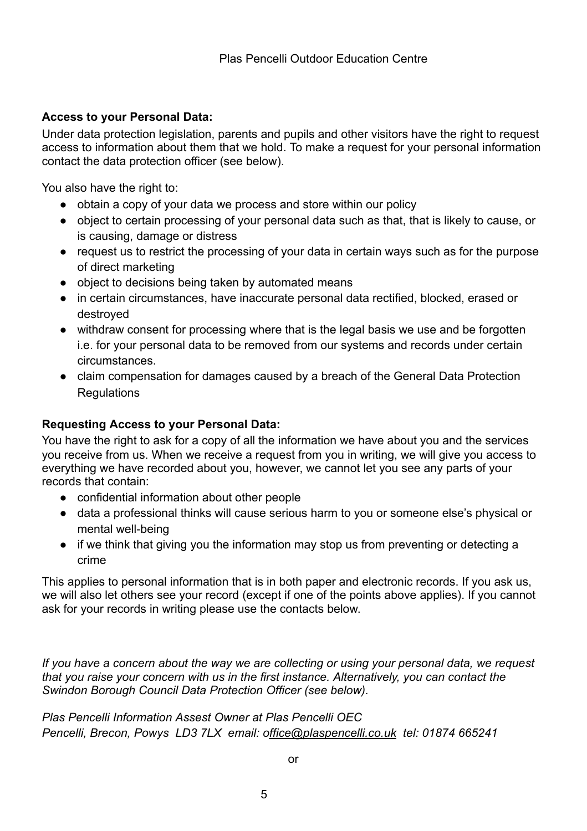### **Access to your Personal Data:**

Under data protection legislation, parents and pupils and other visitors have the right to request access to information about them that we hold. To make a request for your personal information contact the data protection officer (see below).

You also have the right to:

- obtain a copy of your data we process and store within our policy
- object to certain processing of your personal data such as that, that is likely to cause, or is causing, damage or distress
- request us to restrict the processing of your data in certain ways such as for the purpose of direct marketing
- object to decisions being taken by automated means
- in certain circumstances, have inaccurate personal data rectified, blocked, erased or destroyed
- withdraw consent for processing where that is the legal basis we use and be forgotten i.e. for your personal data to be removed from our systems and records under certain circumstances.
- claim compensation for damages caused by a breach of the General Data Protection **Regulations**

#### **Requesting Access to your Personal Data:**

You have the right to ask for a copy of all the information we have about you and the services you receive from us. When we receive a request from you in writing, we will give you access to everything we have recorded about you, however, we cannot let you see any parts of your records that contain:

- confidential information about other people
- data a professional thinks will cause serious harm to you or someone else's physical or mental well-being
- if we think that giving you the information may stop us from preventing or detecting a crime

This applies to personal information that is in both paper and electronic records. If you ask us, we will also let others see your record (except if one of the points above applies). If you cannot ask for your records in writing please use the contacts below.

*If you have a concern about the way we are collecting or using your personal data, we request that you raise your concern with us in the first instance. Alternatively, you can contact the Swindon Borough Council Data Protection Officer (see below).* 

*Plas Pencelli Information Assest Owner at Plas Pencelli OEC Pencelli, Brecon, Powys LD3 7LX email: office@plaspencelli.co.uk tel: 01874 665241*